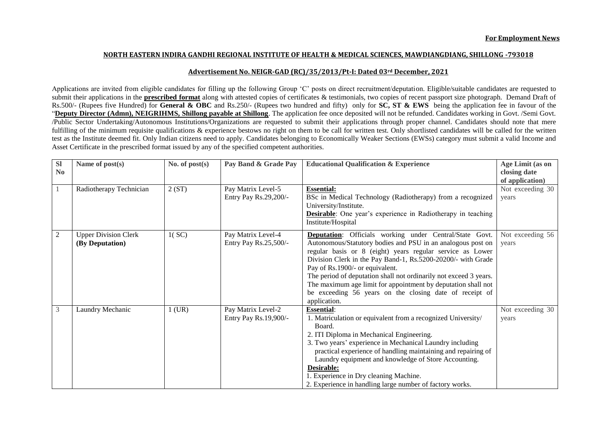## **NORTH EASTERN INDIRA GANDHI REGIONAL INSTITUTE OF HEALTH & MEDICAL SCIENCES, MAWDIANGDIANG, SHILLONG -793018**

## **Advertisement No. NEIGR-GAD (RC)/35/2013/Pt-I: Dated 03rd December, 2021**

Applications are invited from eligible candidates for filling up the following Group 'C' posts on direct recruitment/deputation. Eligible/suitable candidates are requested to submit their applications in the **prescribed format** along with attested copies of certificates & testimonials, two copies of recent passport size photograph. Demand Draft of Rs.500/- (Rupees five Hundred) for **General & OBC** and Rs.250/- (Rupees two hundred and fifty) only for **SC, ST & EWS** being the application fee in favour of the "Deputy Director (Admn), NEIGRIHMS, Shillong payable at Shillong. The application fee once deposited will not be refunded. Candidates working in Govt. /Semi Govt. /Public Sector Undertaking/Autonomous Institutions/Organizations are requested to submit their applications through proper channel. Candidates should note that mere fulfilling of the minimum requisite qualifications & experience bestows no right on them to be call for written test. Only shortlisted candidates will be called for the written test as the Institute deemed fit. Only Indian citizens need to apply. Candidates belonging to Economically Weaker Sections (EWSs) category must submit a valid Income and Asset Certificate in the prescribed format issued by any of the specified competent authorities.

| <b>Sl</b><br>N <sub>0</sub> | Name of post(s)                                | No. of $post(s)$ | Pay Band & Grade Pay                        | <b>Educational Qualification &amp; Experience</b>                                                                                                                                                                                                                                                                                                                                                                                                                                                              | Age Limit (as on<br>closing date<br>of application) |
|-----------------------------|------------------------------------------------|------------------|---------------------------------------------|----------------------------------------------------------------------------------------------------------------------------------------------------------------------------------------------------------------------------------------------------------------------------------------------------------------------------------------------------------------------------------------------------------------------------------------------------------------------------------------------------------------|-----------------------------------------------------|
|                             | Radiotherapy Technician                        | 2(ST)            | Pay Matrix Level-5<br>Entry Pay Rs.29,200/- | <b>Essential:</b><br>BSc in Medical Technology (Radiotherapy) from a recognized<br>University/Institute.<br><b>Desirable</b> : One year's experience in Radiotherapy in teaching<br>Institute/Hospital                                                                                                                                                                                                                                                                                                         | Not exceeding 30<br>years                           |
| $\overline{2}$              | <b>Upper Division Clerk</b><br>(By Deputation) | 1(SC)            | Pay Matrix Level-4<br>Entry Pay Rs.25,500/- | <b>Deputation:</b> Officials working under Central/State Govt.<br>Autonomous/Statutory bodies and PSU in an analogous post on<br>regular basis or 8 (eight) years regular service as Lower<br>Division Clerk in the Pay Band-1, Rs.5200-20200/- with Grade<br>Pay of Rs.1900/- or equivalent.<br>The period of deputation shall not ordinarily not exceed 3 years.<br>The maximum age limit for appointment by deputation shall not<br>be exceeding 56 years on the closing date of receipt of<br>application. | Not exceeding 56<br>years                           |
| 3                           | Laundry Mechanic                               | $1$ (UR)         | Pay Matrix Level-2<br>Entry Pay Rs.19,900/- | <b>Essential:</b><br>1. Matriculation or equivalent from a recognized University/<br>Board.<br>2. ITI Diploma in Mechanical Engineering.<br>3. Two years' experience in Mechanical Laundry including<br>practical experience of handling maintaining and repairing of<br>Laundry equipment and knowledge of Store Accounting.<br>Desirable:<br>1. Experience in Dry cleaning Machine.<br>2. Experience in handling large number of factory works.                                                              | Not exceeding 30<br>years                           |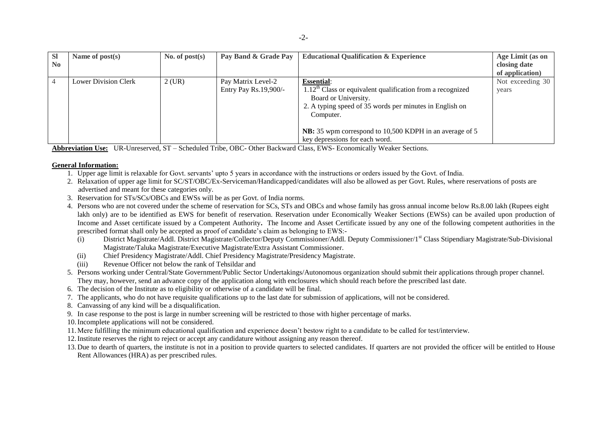| <b>SI</b><br>N <sub>0</sub> | Name of $post(s)$           | No. of $post(s)$ | Pay Band & Grade Pay                        | <b>Educational Qualification &amp; Experience</b>                                                                                                                                                                                                                              | Age Limit (as on<br>closing date<br>of application) |
|-----------------------------|-----------------------------|------------------|---------------------------------------------|--------------------------------------------------------------------------------------------------------------------------------------------------------------------------------------------------------------------------------------------------------------------------------|-----------------------------------------------------|
|                             | <b>Lower Division Clerk</b> | $2$ (UR)         | Pay Matrix Level-2<br>Entry Pay Rs.19,900/- | <b>Essential:</b><br>$1.12th$ Class or equivalent qualification from a recognized<br>Board or University.<br>2. A typing speed of 35 words per minutes in English on<br>Computer.<br>NB: 35 wpm correspond to 10,500 KDPH in an average of 5<br>key depressions for each word. | Not exceeding 30<br>years                           |

**Abbreviation Use:** UR-Unreserved, ST – Scheduled Tribe, OBC- Other Backward Class, EWS- Economically Weaker Sections.

## **General Information:**

- 1. Upper age limit is relaxable for Govt. servants' upto 5 years in accordance with the instructions or orders issued by the Govt. of India.
- 2. Relaxation of upper age limit for SC/ST/OBC/Ex-Serviceman/Handicapped/candidates will also be allowed as per Govt. Rules, where reservations of posts are advertised and meant for these categories only.
- 3. Reservation for STs/SCs/OBCs and EWSs will be as per Govt. of India norms.
- 4. Persons who are not covered under the scheme of reservation for SCs, STs and OBCs and whose family has gross annual income below Rs.8.00 lakh (Rupees eight lakh only) are to be identified as EWS for benefit of reservation. Reservation under Economically Weaker Sections (EWSs) can be availed upon production of Income and Asset certificate issued by a Competent Authority**.** The Income and Asset Certificate issued by any one of the following competent authorities in the prescribed format shall only be accepted as proof of candidate's claim as belonging to EWS:-
	- (i) District Magistrate/Addl. District Magistrate/Collector/Deputy Commissioner/Addl. Deputy Commissioner/1st Class Stipendiary Magistrate/Sub-Divisional Magistrate/Taluka Magistrate/Executive Magistrate/Extra Assistant Commissioner.
	- (ii) Chief Presidency Magistrate/Addl. Chief Presidency Magistrate/Presidency Magistrate.
	- (iii) Revenue Officer not below the rank of Tehsildar and
- 5. Persons working under Central/State Government/Public Sector Undertakings/Autonomous organization should submit their applications through proper channel. They may, however, send an advance copy of the application along with enclosures which should reach before the prescribed last date.
- 6. The decision of the Institute as to eligibility or otherwise of a candidate will be final.
- 7. The applicants, who do not have requisite qualifications up to the last date for submission of applications, will not be considered.
- 8. Canvassing of any kind will be a disqualification.
- 9. In case response to the post is large in number screening will be restricted to those with higher percentage of marks.
- 10.Incomplete applications will not be considered.
- 11.Mere fulfilling the minimum educational qualification and experience doesn't bestow right to a candidate to be called for test/interview.
- 12.Institute reserves the right to reject or accept any candidature without assigning any reason thereof.
- 13. Due to dearth of quarters, the institute is not in a position to provide quarters to selected candidates. If quarters are not provided the officer will be entitled to House Rent Allowances (HRA) as per prescribed rules.